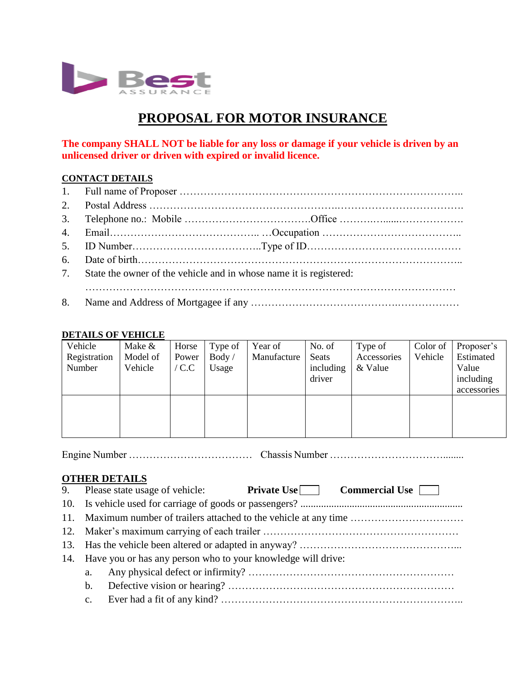

# **PROPOSAL FOR MOTOR INSURANCE**

**The company SHALL NOT be liable for any loss or damage if your vehicle is driven by an unlicensed driver or driven with expired or invalid licence.**

#### **CONTACT DETAILS**

| 7. State the owner of the vehicle and in whose name it is registered: |
|-----------------------------------------------------------------------|
|                                                                       |
|                                                                       |

#### **DETAILS OF VEHICLE**

| Vehicle      | Make &   | Horse           | Type of | Year of     | No. of    | Type of     | Color of | Proposer's  |
|--------------|----------|-----------------|---------|-------------|-----------|-------------|----------|-------------|
| Registration | Model of | Power           | Body /  | Manufacture | Seats     | Accessories | Vehicle  | Estimated   |
| Number       | Vehicle  | $^{\prime}$ C.C | Usage   |             | including | & Value     |          | Value       |
|              |          |                 |         |             | driver    |             |          | including   |
|              |          |                 |         |             |           |             |          | accessories |
|              |          |                 |         |             |           |             |          |             |
|              |          |                 |         |             |           |             |          |             |
|              |          |                 |         |             |           |             |          |             |
|              |          |                 |         |             |           |             |          |             |

Engine Number ……………………………… Chassis Number ……………………………........

### **OTHER DETAILS**

|                                                                    | 9. Please state usage of vehicle: Private Use Commercial Use |  |  |  |  |
|--------------------------------------------------------------------|--------------------------------------------------------------|--|--|--|--|
|                                                                    |                                                              |  |  |  |  |
| 11. Maximum number of trailers attached to the vehicle at any time |                                                              |  |  |  |  |
|                                                                    |                                                              |  |  |  |  |
|                                                                    |                                                              |  |  |  |  |
| 14. Have you or has any person who to your knowledge will drive:   |                                                              |  |  |  |  |
| a.                                                                 |                                                              |  |  |  |  |
| $b_{1}$                                                            |                                                              |  |  |  |  |
| $\mathbf{c}$ .                                                     |                                                              |  |  |  |  |